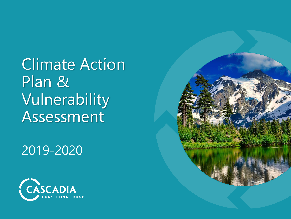Climate Action Plan & Vulnerability Assessment

2019-2020



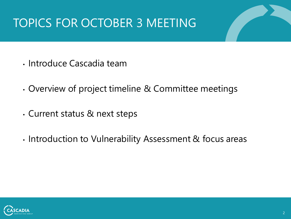## TOPICS FOR OCTOBER 3 MEETING

- Introduce Cascadia team
- Overview of project timeline & Committee meetings
- Current status & next steps
- Introduction to Vulnerability Assessment & focus areas

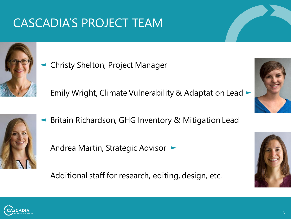## CASCADIA'S PROJECT TEAM



◄ Christy Shelton, Project Manager

Emily Wright, Climate Vulnerability & Adaptation Lead ►



◄ Britain Richardson, GHG Inventory & Mitigation Lead

Andrea Martin, Strategic Advisor ►

Additional staff for research, editing, design, etc.





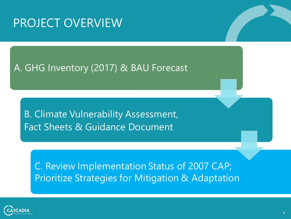### PROJECT OVERVIEW

### A. GHG Inventory (2017) & BAU Forecast

B. Climate Vulnerability Assessment, Fact Sheets & Guidance Document

C. Review Implementation Status of 2007 CAP; Prioritize Strategies for Mitigation & Adaptation

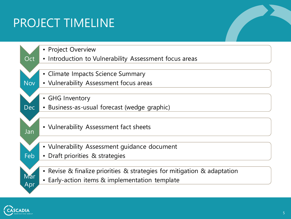# PROJECT TIMELINE



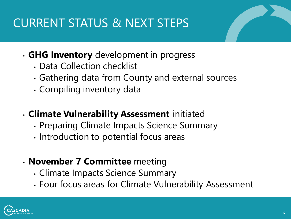# CURRENT STATUS & NEXT STEPS

### • **GHG Inventory** development in progress

- Data Collection checklist
- Gathering data from County and external sources
- Compiling inventory data

### • **Climate Vulnerability Assessment** initiated

- Preparing Climate Impacts Science Summary
- Introduction to potential focus areas

### • **November 7 Committee** meeting

- Climate Impacts Science Summary
- Four focus areas for Climate Vulnerability Assessment

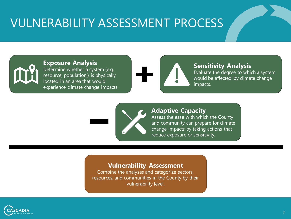### VULNERABILITY ASSESSMENT PROCESS



#### **Exposure Analysis**

Determine whether a system (e.g. resource, population,) is physically located in an area that would experience climate change impacts.



#### **Sensitivity Analysis**

Evaluate the degree to which a system would be affected by climate change impacts.



#### **Adaptive Capacity**

Assess the ease with which the County and community can prepare for climate change impacts by taking actions that reduce exposure or sensitivity.

#### **Vulnerability Assessment**

Combine the analyses and categorize sectors, resources, and communities in the County by their vulnerability level.

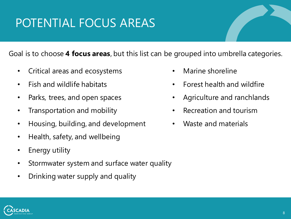# POTENTIAL FOCUS AREAS

Goal is to choose **4 focus areas**, but this list can be grouped into umbrella categories.

- Critical areas and ecosystems
- Fish and wildlife habitats
- Parks, trees, and open spaces
- Transportation and mobility
- Housing, building, and development
- Health, safety, and wellbeing
- Energy utility
- Stormwater system and surface water quality
- Drinking water supply and quality
- Marine shoreline
- Forest health and wildfire
- Agriculture and ranchlands
- Recreation and tourism
- Waste and materials

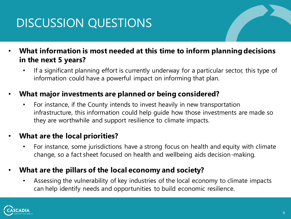# DISCUSSION QUESTIONS

- **What information is most needed at this time to inform planning decisions in the next 5 years?**
	- If a significant planning effort is currently underway for a particular sector, this type of information could have a powerful impact on informing that plan.

### • **What major investments are planned or being considered?**

• For instance, if the County intends to invest heavily in new transportation infrastructure, this information could help guide how those investments are made so they are worthwhile and support resilience to climate impacts.

### • **What are the local priorities?**

• For instance, some jurisdictions have a strong focus on health and equity with climate change, so a fact sheet focused on health and wellbeing aids decision-making.

### • **What are the pillars of the local economy and society?**

• Assessing the vulnerability of key industries of the local economy to climate impacts can help identify needs and opportunities to build economic resilience.